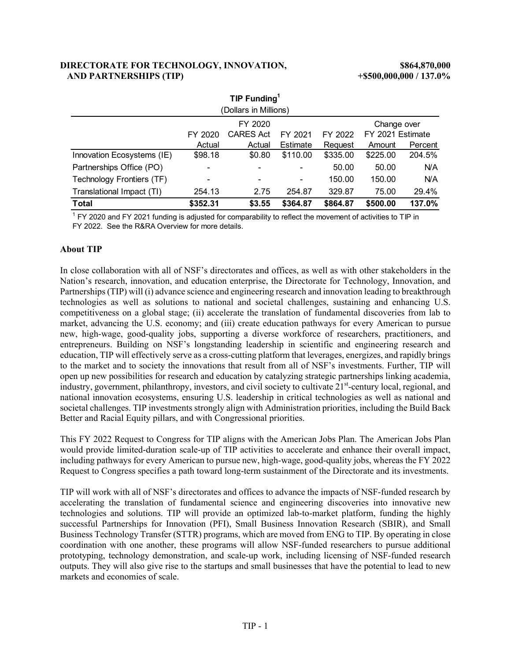### **DIRECTORATE FOR TECHNOLOGY, INNOVATION, \$864,870,000 AND PARTNERSHIPS (TIP) +\$500,000,000 / 137.0%**

| TIP Funding <sup>1</sup>   |          |                  |          |          |                  |         |  |  |
|----------------------------|----------|------------------|----------|----------|------------------|---------|--|--|
| (Dollars in Millions)      |          |                  |          |          |                  |         |  |  |
| FY 2020<br>Change over     |          |                  |          |          |                  |         |  |  |
|                            | FY 2020  | <b>CARES Act</b> | FY 2021  | FY 2022  | FY 2021 Estimate |         |  |  |
|                            | Actual   | Actual           | Estimate | Request  | Amount           | Percent |  |  |
| Innovation Ecosystems (IE) | \$98.18  | \$0.80           | \$110.00 | \$335.00 | \$225.00         | 204.5%  |  |  |
| Partnerships Office (PO)   |          |                  |          | 50.00    | 50.00            | N/A     |  |  |
| Technology Frontiers (TF)  |          | ۰                | -        | 150.00   | 150.00           | N/A     |  |  |
| Translational Impact (TI)  | 254.13   | 2.75             | 254.87   | 329.87   | 75.00            | 29.4%   |  |  |
| <b>Total</b>               | \$352.31 | \$3.55           | \$364.87 | \$864.87 | \$500.00         | 137.0%  |  |  |

 $^1$  FY 2020 and FY 2021 funding is adjusted for comparability to reflect the movement of activities to TIP in FY 2022. See the R&RA Overview for more details.

### **About TIP**

In close collaboration with all of NSF's directorates and offices, as well as with other stakeholders in the Nation's research, innovation, and education enterprise, the Directorate for Technology, Innovation, and Partnerships (TIP) will (i) advance science and engineering research and innovation leading to breakthrough technologies as well as solutions to national and societal challenges, sustaining and enhancing U.S. competitiveness on a global stage; (ii) accelerate the translation of fundamental discoveries from lab to market, advancing the U.S. economy; and (iii) create education pathways for every American to pursue new, high-wage, good-quality jobs, supporting a diverse workforce of researchers, practitioners, and entrepreneurs. Building on NSF's longstanding leadership in scientific and engineering research and education, TIP will effectively serve as a cross-cutting platform that leverages, energizes, and rapidly brings to the market and to society the innovations that result from all of NSF's investments. Further, TIP will open up new possibilities for research and education by catalyzing strategic partnerships linking academia, industry, government, philanthropy, investors, and civil society to cultivate 21<sup>st</sup>-century local, regional, and national innovation ecosystems, ensuring U.S. leadership in critical technologies as well as national and societal challenges. TIP investments strongly align with Administration priorities, including the Build Back Better and Racial Equity pillars, and with Congressional priorities.

This FY 2022 Request to Congress for TIP aligns with the American Jobs Plan. The American Jobs Plan would provide limited-duration scale-up of TIP activities to accelerate and enhance their overall impact, including pathways for every American to pursue new, high-wage, good-quality jobs, whereas the FY 2022 Request to Congress specifies a path toward long-term sustainment of the Directorate and its investments.

TIP will work with all of NSF's directorates and offices to advance the impacts of NSF-funded research by accelerating the translation of fundamental science and engineering discoveries into innovative new technologies and solutions. TIP will provide an optimized lab-to-market platform, funding the highly successful Partnerships for Innovation (PFI), Small Business Innovation Research (SBIR), and Small Business Technology Transfer (STTR) programs, which are moved from ENG to TIP. By operating in close coordination with one another, these programs will allow NSF-funded researchers to pursue additional prototyping, technology demonstration, and scale-up work, including licensing of NSF-funded research outputs. They will also give rise to the startups and small businesses that have the potential to lead to new markets and economies of scale.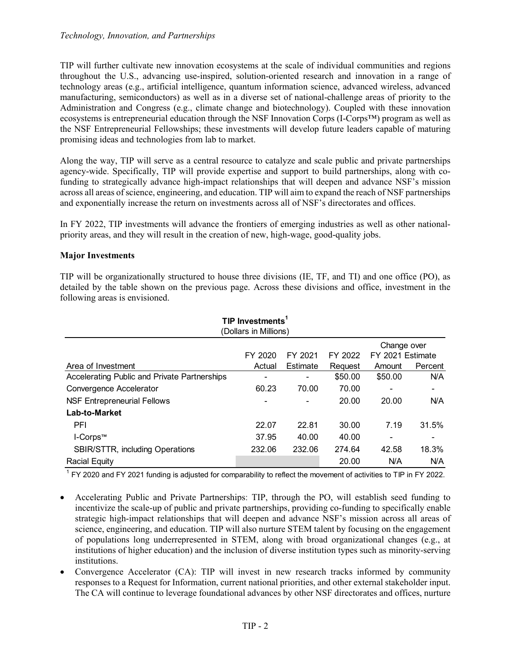### *Technology, Innovation, and Partnerships*

TIP will further cultivate new innovation ecosystems at the scale of individual communities and regions throughout the U.S., advancing use-inspired, solution-oriented research and innovation in a range of technology areas (e.g., artificial intelligence, quantum information science, advanced wireless, advanced manufacturing, semiconductors) as well as in a diverse set of national-challenge areas of priority to the Administration and Congress (e.g., climate change and biotechnology). Coupled with these innovation ecosystems is entrepreneurial education through the NSF Innovation Corps (I-Corps™) program as well as the NSF Entrepreneurial Fellowships; these investments will develop future leaders capable of maturing promising ideas and technologies from lab to market.

Along the way, TIP will serve as a central resource to catalyze and scale public and private partnerships agency-wide. Specifically, TIP will provide expertise and support to build partnerships, along with cofunding to strategically advance high-impact relationships that will deepen and advance NSF's mission across all areas of science, engineering, and education. TIP will aim to expand the reach of NSF partnerships and exponentially increase the return on investments across all of NSF's directorates and offices.

In FY 2022, TIP investments will advance the frontiers of emerging industries as well as other nationalpriority areas, and they will result in the creation of new, high-wage, good-quality jobs.

### **Major Investments**

| ioliowing areas is envisioned.                        |         |          |         |                  |            |  |  |  |
|-------------------------------------------------------|---------|----------|---------|------------------|------------|--|--|--|
| TIP Investments <sup>1</sup><br>(Dollars in Millions) |         |          |         |                  |            |  |  |  |
|                                                       |         |          |         | Change over      |            |  |  |  |
|                                                       | FY 2020 | FY 2021  | FY 2022 | FY 2021 Estimate |            |  |  |  |
| Area of Investment                                    | Actual  | Estimate | Request | Amount           | Percent    |  |  |  |
| Accelerating Public and Private Partnerships          |         |          | \$50.00 | \$50.00          | N/A        |  |  |  |
| Convergence Accelerator                               | 60.23   | 70.00    | 70.00   |                  |            |  |  |  |
| <b>NSF Entrepreneurial Fellows</b>                    |         |          | 20.00   | 20.00            | <b>N/A</b> |  |  |  |
| Lab-to-Market                                         |         |          |         |                  |            |  |  |  |
| <b>PFI</b>                                            | 22.07   | 22.81    | 30.00   | 7.19             | 31.5%      |  |  |  |
| I-Corps™                                              | 37.95   | 40.00    | 40.00   | ۰                |            |  |  |  |
| <b>SBIR/STTR, including Operations</b>                | 232.06  | 232.06   | 274.64  | 42.58            | 18.3%      |  |  |  |
| <b>Racial Equity</b>                                  |         |          | 20.00   | N/A              | N/A        |  |  |  |

TIP will be organizationally structured to house three divisions (IE, TF, and TI) and one office (PO), as detailed by the table shown on the previous page. Across these divisions and office, investment in the following

 $^{\text{1}}$  FY 2020 and FY 2021 funding is adjusted for comparability to reflect the movement of activities to TIP in FY 2022.

- Accelerating Public and Private Partnerships: TIP, through the PO, will establish seed funding to incentivize the scale-up of public and private partnerships, providing co-funding to specifically enable strategic high-impact relationships that will deepen and advance NSF's mission across all areas of science, engineering, and education. TIP will also nurture STEM talent by focusing on the engagement of populations long underrepresented in STEM, along with broad organizational changes (e.g., at institutions of higher education) and the inclusion of diverse institution types such as minority-serving institutions.
- Convergence Accelerator (CA): TIP will invest in new research tracks informed by community responses to a Request for Information, current national priorities, and other external stakeholder input. The CA will continue to leverage foundational advances by other NSF directorates and offices, nurture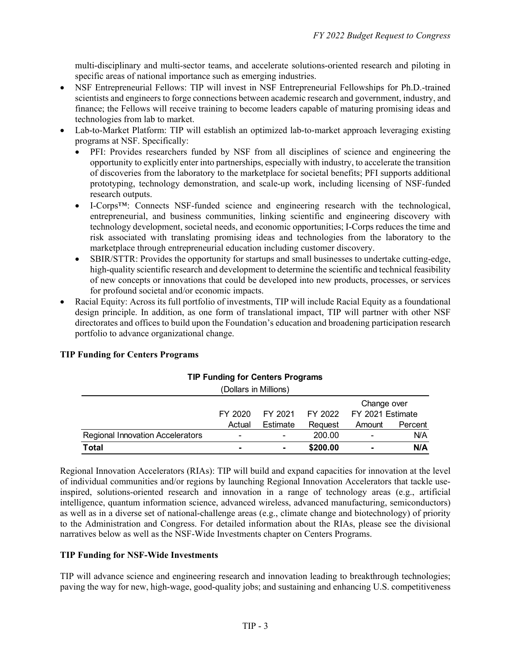multi-disciplinary and multi-sector teams, and accelerate solutions-oriented research and piloting in specific areas of national importance such as emerging industries.

- NSF Entrepreneurial Fellows: TIP will invest in NSF Entrepreneurial Fellowships for Ph.D.-trained scientists and engineers to forge connections between academic research and government, industry, and finance; the Fellows will receive training to become leaders capable of maturing promising ideas and technologies from lab to market.
- Lab-to-Market Platform: TIP will establish an optimized lab-to-market approach leveraging existing programs at NSF. Specifically:
	- PFI: Provides researchers funded by NSF from all disciplines of science and engineering the opportunity to explicitly enter into partnerships, especially with industry, to accelerate the transition of discoveries from the laboratory to the marketplace for societal benefits; PFI supports additional prototyping, technology demonstration, and scale-up work, including licensing of NSF-funded research outputs.
	- I-Corps<sup>TM</sup>: Connects NSF-funded science and engineering research with the technological, entrepreneurial, and business communities, linking scientific and engineering discovery with technology development, societal needs, and economic opportunities; I-Corps reduces the time and risk associated with translating promising ideas and technologies from the laboratory to the marketplace through entrepreneurial education including customer discovery.
	- SBIR/STTR: Provides the opportunity for startups and small businesses to undertake cutting-edge, high-quality scientific research and development to determine the scientific and technical feasibility of new concepts or innovations that could be developed into new products, processes, or services for profound societal and/or economic impacts.
- Racial Equity: Across its full portfolio of investments, TIP will include Racial Equity as a foundational design principle. In addition, as one form of translational impact, TIP will partner with other NSF directorates and offices to build upon the Foundation's education and broadening participation research portfolio to advance organizational change.

### **TIP Funding for Centers Programs**

| <b>III</b> Tununiy Tor Ochtoro I Togramo |         |                          |          |                          |         |  |  |
|------------------------------------------|---------|--------------------------|----------|--------------------------|---------|--|--|
| (Dollars in Millions)                    |         |                          |          |                          |         |  |  |
|                                          |         |                          |          | Change over              |         |  |  |
|                                          | FY 2020 | FY 2021                  |          | FY 2022 FY 2021 Estimate |         |  |  |
|                                          | Actual  | Estimate                 | Reguest  | Amount                   | Percent |  |  |
| <b>Regional Innovation Accelerators</b>  | -       | $\overline{\phantom{0}}$ | 200.00   |                          | N/A     |  |  |
| <b>Total</b>                             |         | ٠                        | \$200.00 | ۰                        | N/A     |  |  |

# **TIP Funding for Centers Programs**

Regional Innovation Accelerators (RIAs): TIP will build and expand capacities for innovation at the level of individual communities and/or regions by launching Regional Innovation Accelerators that tackle useinspired, solutions-oriented research and innovation in a range of technology areas (e.g., artificial intelligence, quantum information science, advanced wireless, advanced manufacturing, semiconductors) as well as in a diverse set of national-challenge areas (e.g., climate change and biotechnology) of priority to the Administration and Congress. For detailed information about the RIAs, please see the divisional narratives below as well as the NSF-Wide Investments chapter on Centers Programs.

### **TIP Funding for NSF-Wide Investments**

TIP will advance science and engineering research and innovation leading to breakthrough technologies; paving the way for new, high-wage, good-quality jobs; and sustaining and enhancing U.S. competitiveness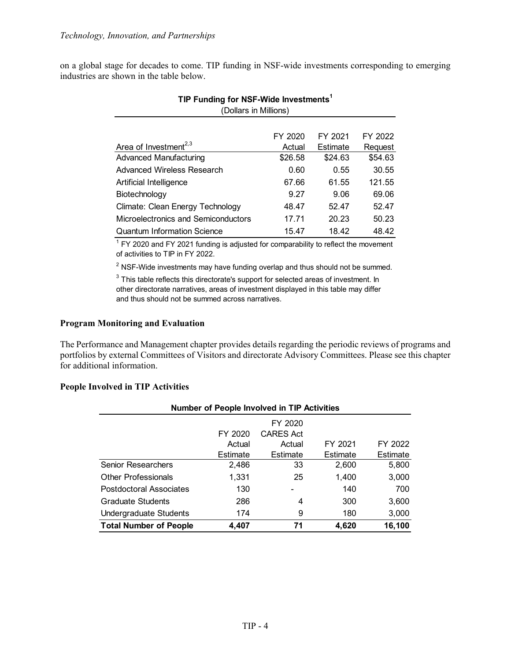on a global stage for decades to come. TIP funding in NSF-wide investments corresponding to emerging industries are shown in the table below.

|                                     | FY 2020 | FY 2021  | FY 2022 |
|-------------------------------------|---------|----------|---------|
| Area of Investment <sup>2,3</sup>   | Actual  | Estimate | Request |
| <b>Advanced Manufacturing</b>       | \$26.58 | \$24.63  | \$54.63 |
| Advanced Wireless Research          | 0.60    | 0.55     | 30.55   |
| Artificial Intelligence             | 67.66   | 61.55    | 121.55  |
| Biotechnology                       | 9.27    | 9.06     | 69.06   |
| Climate: Clean Energy Technology    | 48.47   | 52.47    | 52.47   |
| Microelectronics and Semiconductors | 17.71   | 20.23    | 50.23   |
| <b>Quantum Information Science</b>  | 15.47   | 18.42    | 48.42   |

### **TIP Funding for NSF-Wide Investments1** (Dollars in Millions)

 $1$  FY 2020 and FY 2021 funding is adjusted for comparability to reflect the movement of activities to TIP in FY 2022.

 $^{\text{2}}$  NSF-Wide investments may have funding overlap and thus should not be summed.

 $^3$  This table reflects this directorate's support for selected areas of investment. In other directorate narratives, areas of investment displayed in this table may differ and thus should not be summed across narratives.

### **Program Monitoring and Evaluation**

The Performance and Management chapter provides details regarding the periodic reviews of programs and portfolios by external Committees of Visitors and directorate Advisory Committees. Please see this chapter for additional information.

### **People Involved in TIP Activities**

| Number of People Involved in TIP Activities |          |           |          |          |  |  |  |  |
|---------------------------------------------|----------|-----------|----------|----------|--|--|--|--|
|                                             |          | FY 2020   |          |          |  |  |  |  |
|                                             | FY 2020  | CARES Act |          |          |  |  |  |  |
|                                             | Actual   | Actual    | FY 2021  | FY 2022  |  |  |  |  |
|                                             | Estimate | Estimate  | Estimate | Estimate |  |  |  |  |
| <b>Senior Researchers</b>                   | 2,486    | 33        | 2,600    | 5,800    |  |  |  |  |
| <b>Other Professionals</b>                  | 1.331    | 25        | 1,400    | 3,000    |  |  |  |  |
| Postdoctoral Associates                     | 130      |           | 140      | 700      |  |  |  |  |
| <b>Graduate Students</b>                    | 286      | 4         | 300      | 3,600    |  |  |  |  |
| Undergraduate Students                      | 174      | 9         | 180      | 3,000    |  |  |  |  |
| <b>Total Number of People</b>               | 4,407    | 71        | 4,620    | 16,100   |  |  |  |  |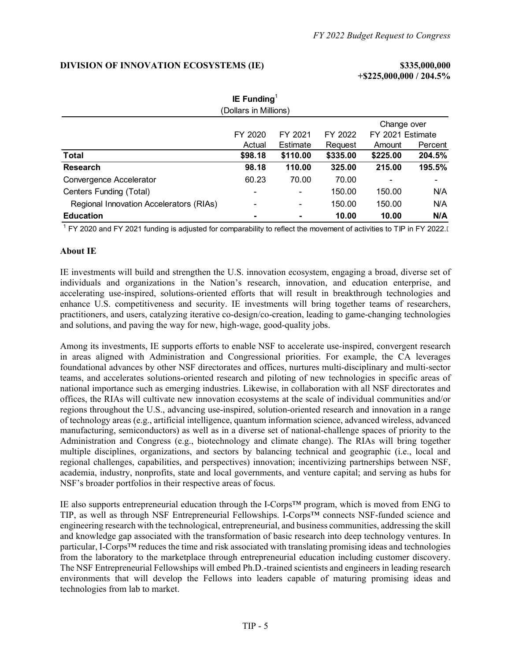### **DIVISION OF INNOVATION ECOSYSTEMS (IE) \$335,000,000**

**+\$225,000,000 / 204.5%**

| IE Funding                              |                |          |          |                  |         |  |  |  |
|-----------------------------------------|----------------|----------|----------|------------------|---------|--|--|--|
| (Dollars in Millions)                   |                |          |          |                  |         |  |  |  |
|                                         |                |          |          | Change over      |         |  |  |  |
|                                         | FY 2020        | FY 2021  | FY 2022  | FY 2021 Estimate |         |  |  |  |
|                                         | Actual         | Estimate | Request  | Amount           | Percent |  |  |  |
| <b>Total</b>                            | \$98.18        | \$110.00 | \$335.00 | \$225.00         | 204.5%  |  |  |  |
| <b>Research</b>                         | 98.18          | 110.00   | 325.00   | 215.00           | 195.5%  |  |  |  |
| Convergence Accelerator                 | 60.23          | 70.00    | 70.00    |                  |         |  |  |  |
| Centers Funding (Total)                 |                | ۰        | 150.00   | 150.00           | N/A     |  |  |  |
| Regional Innovation Accelerators (RIAs) | $\blacksquare$ | ۰        | 150.00   | 150.00           | N/A     |  |  |  |
| <b>Education</b>                        |                |          | 10.00    | 10.00            | N/A     |  |  |  |

 $^1$  FY 2020 and FY 2021 funding is adjusted for comparability to reflect the movement of activities to TIP in FY 2022.[

### **About IE**

IE investments will build and strengthen the U.S. innovation ecosystem, engaging a broad, diverse set of individuals and organizations in the Nation's research, innovation, and education enterprise, and accelerating use-inspired, solutions-oriented efforts that will result in breakthrough technologies and enhance U.S. competitiveness and security. IE investments will bring together teams of researchers, practitioners, and users, catalyzing iterative co-design/co-creation, leading to game-changing technologies and solutions, and paving the way for new, high-wage, good-quality jobs.

Among its investments, IE supports efforts to enable NSF to accelerate use-inspired, convergent research in areas aligned with Administration and Congressional priorities. For example, the CA leverages foundational advances by other NSF directorates and offices, nurtures multi-disciplinary and multi-sector teams, and accelerates solutions-oriented research and piloting of new technologies in specific areas of national importance such as emerging industries. Likewise, in collaboration with all NSF directorates and offices, the RIAs will cultivate new innovation ecosystems at the scale of individual communities and/or regions throughout the U.S., advancing use-inspired, solution-oriented research and innovation in a range of technology areas (e.g., artificial intelligence, quantum information science, advanced wireless, advanced manufacturing, semiconductors) as well as in a diverse set of national-challenge spaces of priority to the Administration and Congress (e.g., biotechnology and climate change). The RIAs will bring together multiple disciplines, organizations, and sectors by balancing technical and geographic (i.e., local and regional challenges, capabilities, and perspectives) innovation; incentivizing partnerships between NSF, academia, industry, nonprofits, state and local governments, and venture capital; and serving as hubs for NSF's broader portfolios in their respective areas of focus.

IE also supports entrepreneurial education through the I-Corps™ program, which is moved from ENG to TIP, as well as through NSF Entrepreneurial Fellowships. I-Corps™ connects NSF-funded science and engineering research with the technological, entrepreneurial, and business communities, addressing the skill and knowledge gap associated with the transformation of basic research into deep technology ventures. In particular, I-Corps™ reduces the time and risk associated with translating promising ideas and technologies from the laboratory to the marketplace through entrepreneurial education including customer discovery. The NSF Entrepreneurial Fellowships will embed Ph.D.-trained scientists and engineers in leading research environments that will develop the Fellows into leaders capable of maturing promising ideas and technologies from lab to market.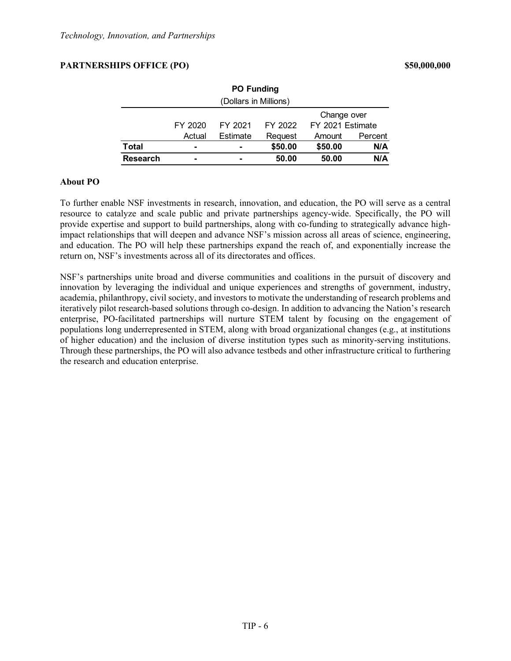### **PARTNERSHIPS OFFICE (PO) \$50,000,000**

| <b>PO Funding</b>     |         |          |         |                  |         |  |
|-----------------------|---------|----------|---------|------------------|---------|--|
| (Dollars in Millions) |         |          |         |                  |         |  |
| Change over           |         |          |         |                  |         |  |
|                       | FY 2020 | FY 2021  | FY 2022 | FY 2021 Estimate |         |  |
|                       | Actual  | Estimate | Request | Amount           | Percent |  |
| Total                 | -       | ۰        | \$50.00 | \$50.00          | N/A     |  |
| <b>Research</b>       |         |          | 50.00   | 50.00            | N/A     |  |

### **About PO**

To further enable NSF investments in research, innovation, and education, the PO will serve as a central resource to catalyze and scale public and private partnerships agency-wide. Specifically, the PO will provide expertise and support to build partnerships, along with co-funding to strategically advance highimpact relationships that will deepen and advance NSF's mission across all areas of science, engineering, and education. The PO will help these partnerships expand the reach of, and exponentially increase the return on, NSF's investments across all of its directorates and offices.

NSF's partnerships unite broad and diverse communities and coalitions in the pursuit of discovery and innovation by leveraging the individual and unique experiences and strengths of government, industry, academia, philanthropy, civil society, and investors to motivate the understanding of research problems and iteratively pilot research-based solutions through co-design. In addition to advancing the Nation's research enterprise, PO-facilitated partnerships will nurture STEM talent by focusing on the engagement of populations long underrepresented in STEM, along with broad organizational changes (e.g., at institutions of higher education) and the inclusion of diverse institution types such as minority-serving institutions. Through these partnerships, the PO will also advance testbeds and other infrastructure critical to furthering the research and education enterprise.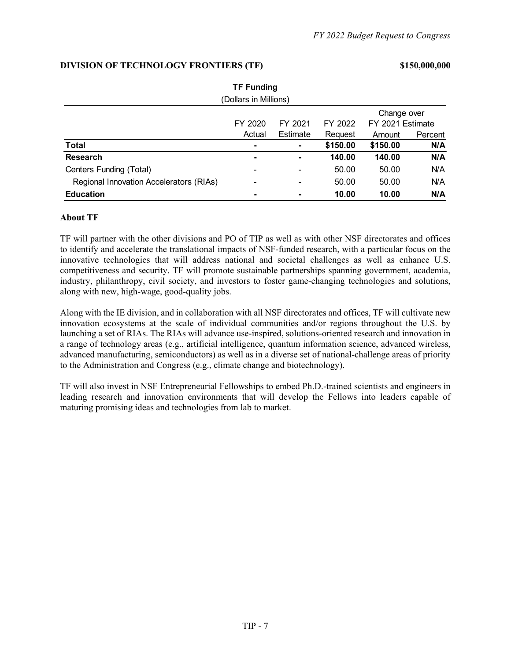### Amount Percent **Total - - \$150.00 \$150.00 N/A Research - - 140.00 140.00 N/A** Centers Funding (Total) **Centers Funding (Total) -**  $-$  50.00 50.00 N/A Regional Innovation Accelerators (RIAs) - - 50.00 50.00 N/A **Education - - 10.00 10.00 N/A TF Funding** (Dollars in Millions) FY 2020 Actual FY 2021 Estimate FY 2022 Request Change over FY 2021 Estimate

### **About TF**

TF will partner with the other divisions and PO of TIP as well as with other NSF directorates and offices to identify and accelerate the translational impacts of NSF-funded research, with a particular focus on the innovative technologies that will address national and societal challenges as well as enhance U.S. competitiveness and security. TF will promote sustainable partnerships spanning government, academia, industry, philanthropy, civil society, and investors to foster game-changing technologies and solutions, along with new, high-wage, good-quality jobs.

Along with the IE division, and in collaboration with all NSF directorates and offices, TF will cultivate new innovation ecosystems at the scale of individual communities and/or regions throughout the U.S. by launching a set of RIAs. The RIAs will advance use-inspired, solutions-oriented research and innovation in a range of technology areas (e.g., artificial intelligence, quantum information science, advanced wireless, advanced manufacturing, semiconductors) as well as in a diverse set of national-challenge areas of priority to the Administration and Congress (e.g., climate change and biotechnology).

TF will also invest in NSF Entrepreneurial Fellowships to embed Ph.D.-trained scientists and engineers in leading research and innovation environments that will develop the Fellows into leaders capable of maturing promising ideas and technologies from lab to market.

## **DIVISION OF TECHNOLOGY FRONTIERS (TF) \$150,000,000**